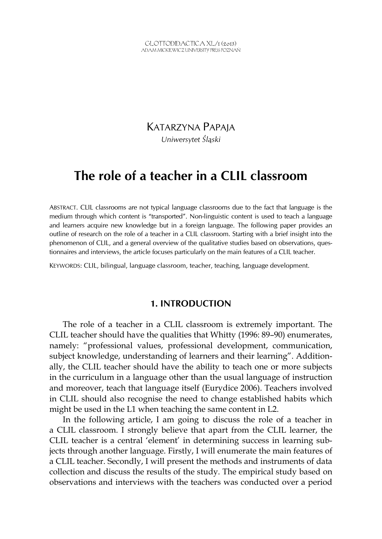KATARZYNA PAPAJA *Uniwersytet Śląski* 

## **The role of a teacher in a CLIL classroom**

ABSTRACT. CLIL classrooms are not typical language classrooms due to the fact that language is the medium through which content is "transported". Non-linguistic content is used to teach a language and learners acquire new knowledge but in a foreign language. The following paper provides an outline of research on the role of a teacher in a CLIL classroom. Starting with a brief insight into the phenomenon of CLIL, and a general overview of the qualitative studies based on observations, questionnaires and interviews, the article focuses particularly on the main features of a CLIL teacher.

KEYWORDS: CLIL, bilingual, language classroom, teacher, teaching, language development.

## **1. INTRODUCTION**

The role of a teacher in a CLIL classroom is extremely important. The CLIL teacher should have the qualities that Whitty (1996: 89–90) enumerates, namely: "professional values, professional development, communication, subject knowledge, understanding of learners and their learning". Additionally, the CLIL teacher should have the ability to teach one or more subjects in the curriculum in a language other than the usual language of instruction and moreover, teach that language itself (Eurydice 2006). Teachers involved in CLIL should also recognise the need to change established habits which might be used in the L1 when teaching the same content in L2.

In the following article, I am going to discuss the role of a teacher in a CLIL classroom. I strongly believe that apart from the CLIL learner, the CLIL teacher is a central 'element' in determining success in learning subjects through another language. Firstly, I will enumerate the main features of a CLIL teacher. Secondly, I will present the methods and instruments of data collection and discuss the results of the study. The empirical study based on observations and interviews with the teachers was conducted over a period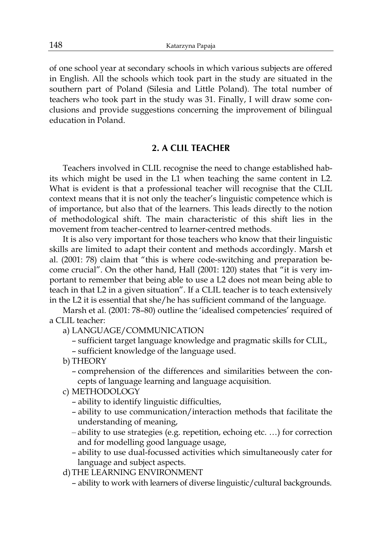of one school year at secondary schools in which various subjects are offered in English. All the schools which took part in the study are situated in the southern part of Poland (Silesia and Little Poland). The total number of teachers who took part in the study was 31. Finally, I will draw some conclusions and provide suggestions concerning the improvement of bilingual education in Poland.

#### **2. A CLIL TEACHER**

Teachers involved in CLIL recognise the need to change established habits which might be used in the L1 when teaching the same content in L2. What is evident is that a professional teacher will recognise that the CLIL context means that it is not only the teacher's linguistic competence which is of importance, but also that of the learners. This leads directly to the notion of methodological shift. The main characteristic of this shift lies in the movement from teacher-centred to learner-centred methods.

It is also very important for those teachers who know that their linguistic skills are limited to adapt their content and methods accordingly. Marsh et al. (2001: 78) claim that "this is where code-switching and preparation become crucial". On the other hand, Hall (2001: 120) states that "it is very important to remember that being able to use a L2 does not mean being able to teach in that L2 in a given situation". If a CLIL teacher is to teach extensively in the L2 it is essential that she/he has sufficient command of the language.

Marsh et al. (2001: 78–80) outline the 'idealised competencies' required of a CLIL teacher:

- a) LANGUAGE/COMMUNICATION
	- sufficient target language knowledge and pragmatic skills for CLIL,
	- sufficient knowledge of the language used.
- b) THEORY
	- comprehension of the differences and similarities between the concepts of language learning and language acquisition.
- c) METHODOLOGY
	- ability to identify linguistic difficulties,
	- ability to use communication/interaction methods that facilitate the understanding of meaning,
	- ability to use strategies (e.g. repetition, echoing etc. …) for correction and for modelling good language usage,
	- ability to use dual-focussed activities which simultaneously cater for language and subject aspects.
- d) THE LEARNING ENVIRONMENT
	- ability to work with learners of diverse linguistic/cultural backgrounds.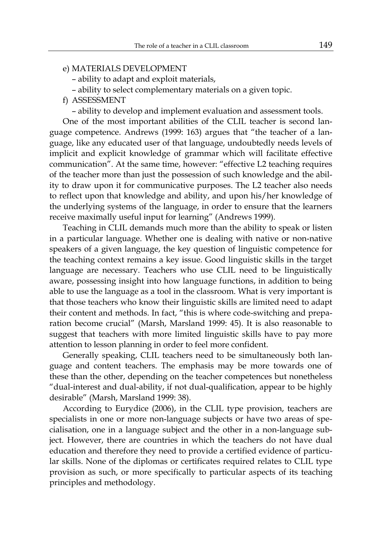### e) MATERIALS DEVELOPMENT

- ability to adapt and exploit materials,
- ability to select complementary materials on a given topic.
- f) ASSESSMENT

– ability to develop and implement evaluation and assessment tools.

One of the most important abilities of the CLIL teacher is second language competence. Andrews (1999: 163) argues that "the teacher of a language, like any educated user of that language, undoubtedly needs levels of implicit and explicit knowledge of grammar which will facilitate effective communication". At the same time, however: "effective L2 teaching requires of the teacher more than just the possession of such knowledge and the ability to draw upon it for communicative purposes. The L2 teacher also needs to reflect upon that knowledge and ability, and upon his/her knowledge of the underlying systems of the language, in order to ensure that the learners receive maximally useful input for learning" (Andrews 1999).

Teaching in CLIL demands much more than the ability to speak or listen in a particular language. Whether one is dealing with native or non-native speakers of a given language, the key question of linguistic competence for the teaching context remains a key issue. Good linguistic skills in the target language are necessary. Teachers who use CLIL need to be linguistically aware, possessing insight into how language functions, in addition to being able to use the language as a tool in the classroom. What is very important is that those teachers who know their linguistic skills are limited need to adapt their content and methods. In fact, "this is where code-switching and preparation become crucial" (Marsh, Marsland 1999: 45). It is also reasonable to suggest that teachers with more limited linguistic skills have to pay more attention to lesson planning in order to feel more confident.

Generally speaking, CLIL teachers need to be simultaneously both language and content teachers. The emphasis may be more towards one of these than the other, depending on the teacher competences but nonetheless "dual-interest and dual-ability, if not dual-qualification, appear to be highly desirable" (Marsh, Marsland 1999: 38).

According to Eurydice (2006), in the CLIL type provision, teachers are specialists in one or more non-language subjects or have two areas of specialisation, one in a language subject and the other in a non-language subject. However, there are countries in which the teachers do not have dual education and therefore they need to provide a certified evidence of particular skills. None of the diplomas or certificates required relates to CLIL type provision as such, or more specifically to particular aspects of its teaching principles and methodology.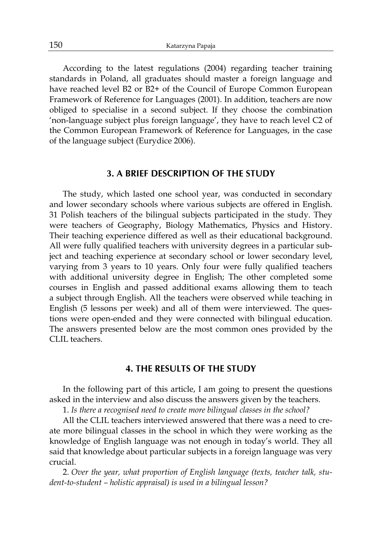According to the latest regulations (2004) regarding teacher training standards in Poland, all graduates should master a foreign language and have reached level B2 or B2+ of the Council of Europe Common European Framework of Reference for Languages (2001). In addition, teachers are now obliged to specialise in a second subject. If they choose the combination 'non-language subject plus foreign language', they have to reach level C2 of the Common European Framework of Reference for Languages, in the case of the language subject (Eurydice 2006).

#### **3. A BRIEF DESCRIPTION OF THE STUDY**

The study, which lasted one school year, was conducted in secondary and lower secondary schools where various subjects are offered in English. 31 Polish teachers of the bilingual subjects participated in the study. They were teachers of Geography, Biology Mathematics, Physics and History. Their teaching experience differed as well as their educational background. All were fully qualified teachers with university degrees in a particular subject and teaching experience at secondary school or lower secondary level, varying from 3 years to 10 years. Only four were fully qualified teachers with additional university degree in English; The other completed some courses in English and passed additional exams allowing them to teach a subject through English. All the teachers were observed while teaching in English (5 lessons per week) and all of them were interviewed. The questions were open-ended and they were connected with bilingual education. The answers presented below are the most common ones provided by the CLIL teachers.

#### **4. THE RESULTS OF THE STUDY**

In the following part of this article, I am going to present the questions asked in the interview and also discuss the answers given by the teachers.

1. *Is there a recognised need to create more bilingual classes in the school?* 

All the CLIL teachers interviewed answered that there was a need to create more bilingual classes in the school in which they were working as the knowledge of English language was not enough in today's world. They all said that knowledge about particular subjects in a foreign language was very crucial.

2. *Over the year, what proportion of English language (texts, teacher talk, student-to-student – holistic appraisal) is used in a bilingual lesson?*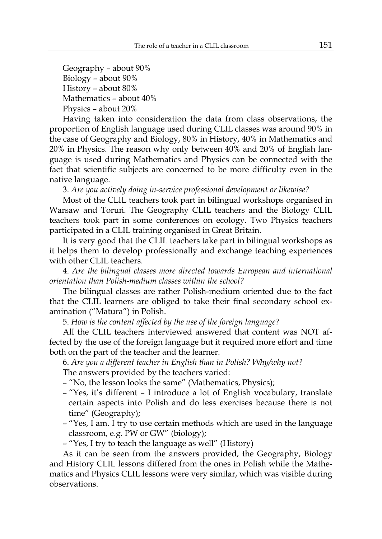Geography – about 90% Biology – about 90% History – about 80% Mathematics – about 40% Physics – about 20%

Having taken into consideration the data from class observations, the proportion of English language used during CLIL classes was around 90% in the case of Geography and Biology, 80% in History, 40% in Mathematics and 20% in Physics. The reason why only between 40% and 20% of English language is used during Mathematics and Physics can be connected with the fact that scientific subjects are concerned to be more difficulty even in the native language.

3. *Are you actively doing in-service professional development or likewise?* 

Most of the CLIL teachers took part in bilingual workshops organised in Warsaw and Toruń. The Geography CLIL teachers and the Biology CLIL teachers took part in some conferences on ecology. Two Physics teachers participated in a CLIL training organised in Great Britain.

It is very good that the CLIL teachers take part in bilingual workshops as it helps them to develop professionally and exchange teaching experiences with other CLIL teachers.

4. *Are the bilingual classes more directed towards European and international orientation than Polish-medium classes within the school?* 

The bilingual classes are rather Polish-medium oriented due to the fact that the CLIL learners are obliged to take their final secondary school examination ("Matura") in Polish.

5. *How is the content affected by the use of the foreign language?* 

All the CLIL teachers interviewed answered that content was NOT affected by the use of the foreign language but it required more effort and time both on the part of the teacher and the learner.

# 6. *Are you a different teacher in English than in Polish? Why/why not?*

The answers provided by the teachers varied:

- "No, the lesson looks the same" (Mathematics, Physics);
- "Yes, it's different I introduce a lot of English vocabulary, translate certain aspects into Polish and do less exercises because there is not time" (Geography);
- "Yes, I am. I try to use certain methods which are used in the language classroom, e.g. PW or GW" (biology);
- "Yes, I try to teach the language as well" (History)

As it can be seen from the answers provided, the Geography, Biology and History CLIL lessons differed from the ones in Polish while the Mathematics and Physics CLIL lessons were very similar, which was visible during observations.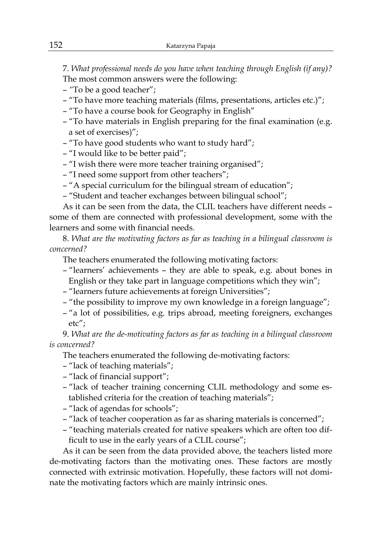7. *What professional needs do you have when teaching through English (if any)?*  The most common answers were the following:

- *"*To be a good teacher";
- "To have more teaching materials (films, presentations, articles etc.)";
- "To have a course book for Geography in English"
- "To have materials in English preparing for the final examination (e.g. a set of exercises)";
- "To have good students who want to study hard";
- "I would like to be better paid";
- "I wish there were more teacher training organised";
- "I need some support from other teachers";
- "A special curriculum for the bilingual stream of education";
- "Student and teacher exchanges between bilingual school";

As it can be seen from the data, the CLIL teachers have different needs – some of them are connected with professional development, some with the learners and some with financial needs.

8. *What are the motivating factors as far as teaching in a bilingual classroom is concerned?* 

The teachers enumerated the following motivating factors:

- "learners' achievements they are able to speak, e.g. about bones in English or they take part in language competitions which they win";
- "learners future achievements at foreign Universities";
- "the possibility to improve my own knowledge in a foreign language";
- "a lot of possibilities, e.g. trips abroad, meeting foreigners, exchanges etc";

9. *What are the de-motivating factors as far as teaching in a bilingual classroom is concerned?*

The teachers enumerated the following de-motivating factors:

- "lack of teaching materials";
- "lack of financial support";
- "lack of teacher training concerning CLIL methodology and some established criteria for the creation of teaching materials";
- "lack of agendas for schools";
- "lack of teacher cooperation as far as sharing materials is concerned";
- "teaching materials created for native speakers which are often too difficult to use in the early years of a CLIL course";

As it can be seen from the data provided above, the teachers listed more de-motivating factors than the motivating ones. These factors are mostly connected with extrinsic motivation. Hopefully, these factors will not dominate the motivating factors which are mainly intrinsic ones.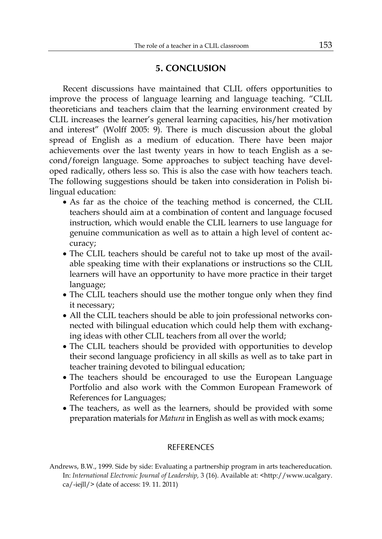## **5. CONCLUSION**

Recent discussions have maintained that CLIL offers opportunities to improve the process of language learning and language teaching. "CLIL theoreticians and teachers claim that the learning environment created by CLIL increases the learner's general learning capacities, his/her motivation and interest" (Wolff 2005: 9). There is much discussion about the global spread of English as a medium of education. There have been major achievements over the last twenty years in how to teach English as a second/foreign language. Some approaches to subject teaching have developed radically, others less so. This is also the case with how teachers teach. The following suggestions should be taken into consideration in Polish bilingual education:

- As far as the choice of the teaching method is concerned, the CLIL teachers should aim at a combination of content and language focused instruction, which would enable the CLIL learners to use language for genuine communication as well as to attain a high level of content accuracy;
- The CLIL teachers should be careful not to take up most of the available speaking time with their explanations or instructions so the CLIL learners will have an opportunity to have more practice in their target language;
- The CLIL teachers should use the mother tongue only when they find it necessary;
- All the CLIL teachers should be able to join professional networks connected with bilingual education which could help them with exchanging ideas with other CLIL teachers from all over the world;
- The CLIL teachers should be provided with opportunities to develop their second language proficiency in all skills as well as to take part in teacher training devoted to bilingual education;
- The teachers should be encouraged to use the European Language Portfolio and also work with the Common European Framework of References for Languages;
- The teachers, as well as the learners, should be provided with some preparation materials for *Matura* in English as well as with mock exams;

#### REFERENCES

Andrews, B.W., 1999. Side by side: Evaluating a partnership program in arts teachereducation. In: *International Electronic Journal of Leadership,* 3 (16). Available at: <http://www.ucalgary. ca/-iejll/> (date of access: 19. 11. 2011)